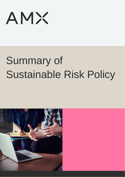**AMX** 

# Summary of Sustainable Risk Policy

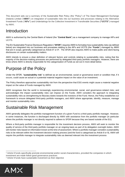This document sets out a summary of the Sustainable Risk Policy (the "Policy") of The Asset Management Exchange (Ireland) Limited ("**AMXI"**) on integration of sustainable risks into our business and processes relating to the Alternative Investment Funds ("**AIFs"**) and Undertakings for the Collective Investment in Transferable Securities **("UCITS"**) managed by AMXI.

# Introduction

AMXI is authorised by the Central Bank of Ireland (the "**Central Bank**") as a management company to manage AIFs and UCITS.

The EU Sustainable Finance Disclosure Regulation ("**SFDR**") requires AMXI to formalise how sustainability risks (as defined below) are integrated into our business and processes relating to the AIFs and UCITS (the "**Funds**") managed by AMXI that are in scope, generally categorised as Article  $8^1$  or  $9^2$ . The SFDR also requires AMXI to make public and client-facing disclosures on certain sustainability matters.

AMXI intends to ensure a clear definition of relevant factors and controls relating to sustainability risks, noting that the majority of the decision-making processes are performed by delegated third-party portfolio managers. However, there are times where AMXI is directly responsible for the categorisation of Funds as set out in more detail below.

# Purpose of the Policy

Under the SFDR, "**sustainability risk**" is defined as an environmental, social or governance event or condition that, if it occurs, could cause an actual or a potential material negative impact on the value of an investment.

The Policy therefore approaches sustainability risk from the perspective that ESG events might cause a material negative impact on the value of Funds managed by AMXI.

AMXI recognises that the world is increasingly experiencing environmental, social, and governance-related risks; and acknowledges the impact sustainability risks can impose on the Funds. AMXI considers the approach to integrating sustainability risks as strengthening its fiduciary duties towards the investors of the Fund. Hence, the Policy establishes our framework to ensure delegated third-party portfolio managers, and AMXI where appropriate, identify, measure, manage and monitor sustainability risks.

## Sustainable Risk Management

AMXI generally delegates the portfolio management function of a given Fund to a third-party portfolio manager. However, in some instances, the function is discharged directly by AMXI with assistance from the portfolio manager (in particular where the portfolio manager is not directly required to adhere to SFDR because they are based outside of the EU).

Where a third-party portfolio manager is responsible for the investment decision process, AMXI will seek to monitor the quality of service of the third-party portfolio manager on an ongoing basis as part of its delegation oversight duties. AMXI will monitor risks based on information known at the time of assessment. Where a portfolio manager considers sustainability risks to be relevant within the investment decision making process (and the fund is categorised as Article 8 or 9), AMXI will require the portfolio manager to integrate sustainability risks as deemed relevant into the investment process

<sup>2</sup> Article 9 funds have sustainable investment as their objective



<sup>1</sup> Article 8 funds specifically promote environmental and/or social characteristics, provided the companies in which investment are made follow good governance practices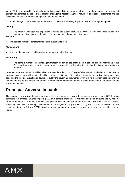Where AMXI is responsible for directly integrating sustainability risks on behalf of a portfolio manager, the investment strategy implemented by the relevant portfolio manager is assessed against regulatory and legal requirements and the description set out in the Fund's prospectus and/or supplement.

A portfolio manager of an Article 8 or 9 fund should consider the following as part of their risk management process:

#### **Identify**

• The portfolio manager has separately reviewed the sustainability risks which are potentially likely to cause a material negative impact on the value of its investments, should those risks occur

#### **Measure**

• The portfolio manager considers measuring sustainability risk

#### **Management**

• The portfolio manager considers ways to manage sustainability risk

#### **Monitoring**

• The portfolio manager's risk management team, or similar, are encouraged to conduct periodic monitoring of the Funds and are encouraged to engage in active ownership, with a view to reducing the risk rating of particular positions.

In certain circumstances a fund will be index tracking and the decisions of the portfolio manager on whether to take exposure to a particular security will primarily be driven by the constituents of the index and constraints on investment decisions based on the index construction and rules set out by the governing documents. AMXI will (to the extent possible) analyse the Index to ensure it is constructed to meet the relevant requirements and that sustainability risks are integrated into the index construction.

## **Principal Adverse Impacts**

The external harm of investments made by portfolio managers is covered by a separate regime under SFDR, which considers the principal adverse impacts (PAI) of a portfolio managers' investment decisions on sustainability factors. Portfolio managers can either (i) confirm compliance with the principal adverse impacts rules under Article 4 SFDR, indicating they have separately implemented a due diligence policy on PAI; or (ii) elect not to implement the PAI arrangements under Article 4 SFDR, including an explanation of the reasons and whether they will be considered in the future.